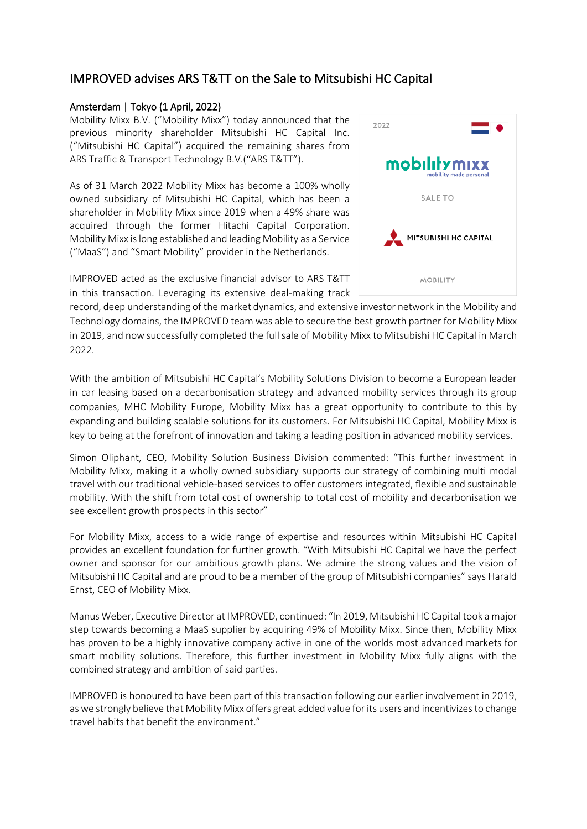## IMPROVED advises ARS T&TT on the Sale to Mitsubishi HC Capital

## Amsterdam | Tokyo (1 April, 2022)

Mobility Mixx B.V. ("Mobility Mixx") today announced that the previous minority shareholder Mitsubishi HC Capital Inc. ("Mitsubishi HC Capital") acquired the remaining shares from ARS Traffic & Transport Technology B.V.("ARS T&TT").

As of 31 March 2022 Mobility Mixx has become a 100% wholly owned subsidiary of Mitsubishi HC Capital, which has been a shareholder in Mobility Mixx since 2019 when a 49% share was acquired through the former Hitachi Capital Corporation. Mobility Mixx is long established and leading Mobility as a Service ("MaaS") and "Smart Mobility" provider in the Netherlands.

IMPROVED acted as the exclusive financial advisor to ARS T&TT in this transaction. Leveraging its extensive deal-making track



record, deep understanding of the market dynamics, and extensive investor network in the Mobility and Technology domains, the IMPROVED team was able to secure the best growth partner for Mobility Mixx in 2019, and now successfully completed the full sale of Mobility Mixx to Mitsubishi HC Capital in March 2022.

With the ambition of Mitsubishi HC Capital's Mobility Solutions Division to become a European leader in car leasing based on a decarbonisation strategy and advanced mobility services through its group companies, MHC Mobility Europe, Mobility Mixx has a great opportunity to contribute to this by expanding and building scalable solutions for its customers. For Mitsubishi HC Capital, Mobility Mixx is key to being at the forefront of innovation and taking a leading position in advanced mobility services.

Simon Oliphant, CEO, Mobility Solution Business Division commented: "This further investment in Mobility Mixx, making it a wholly owned subsidiary supports our strategy of combining multi modal travel with our traditional vehicle-based services to offer customers integrated, flexible and sustainable mobility. With the shift from total cost of ownership to total cost of mobility and decarbonisation we see excellent growth prospects in this sector"

For Mobility Mixx, access to a wide range of expertise and resources within Mitsubishi HC Capital provides an excellent foundation for further growth. "With Mitsubishi HC Capital we have the perfect owner and sponsor for our ambitious growth plans. We admire the strong values and the vision of Mitsubishi HC Capital and are proud to be a member of the group of Mitsubishi companies" says Harald Ernst, CEO of Mobility Mixx.

Manus Weber, Executive Director at IMPROVED, continued: "In 2019, Mitsubishi HC Capital took a major step towards becoming a MaaS supplier by acquiring 49% of Mobility Mixx. Since then, Mobility Mixx has proven to be a highly innovative company active in one of the worlds most advanced markets for smart mobility solutions. Therefore, this further investment in Mobility Mixx fully aligns with the combined strategy and ambition of said parties.

IMPROVED is honoured to have been part of this transaction following our earlier involvement in 2019, as we strongly believe that Mobility Mixx offers great added value for its users and incentivizes to change travel habits that benefit the environment."